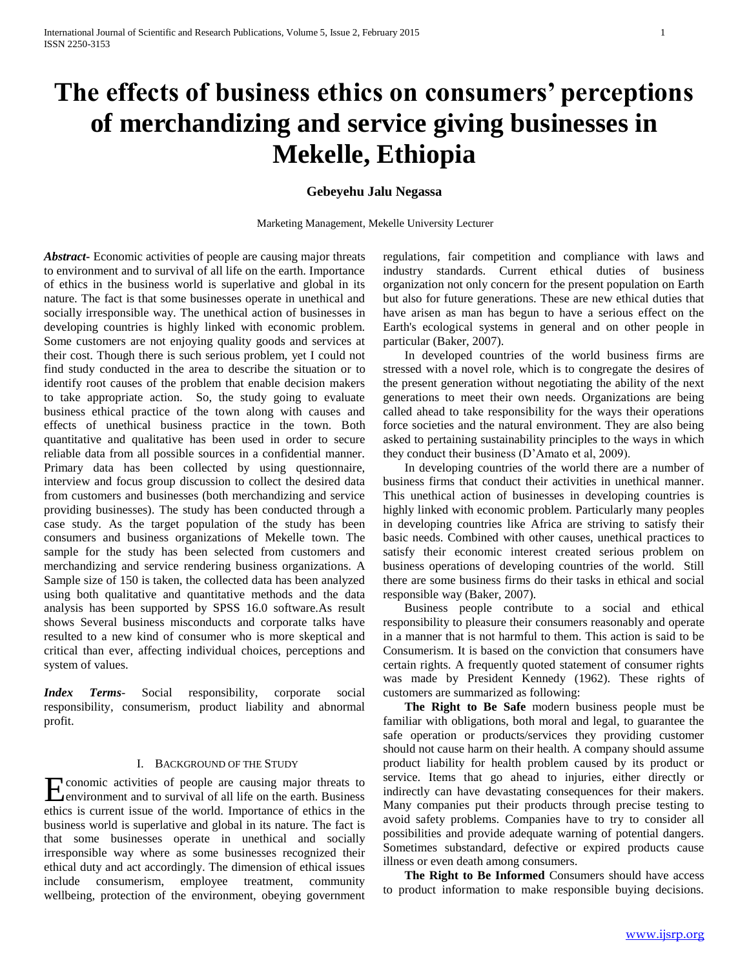# **The effects of business ethics on consumers' perceptions of merchandizing and service giving businesses in Mekelle, Ethiopia**

## **Gebeyehu Jalu Negassa**

Marketing Management, Mekelle University Lecturer

*Abstract***-** Economic activities of people are causing major threats to environment and to survival of all life on the earth. Importance of ethics in the business world is superlative and global in its nature. The fact is that some businesses operate in unethical and socially irresponsible way. The unethical action of businesses in developing countries is highly linked with economic problem. Some customers are not enjoying quality goods and services at their cost. Though there is such serious problem, yet I could not find study conducted in the area to describe the situation or to identify root causes of the problem that enable decision makers to take appropriate action. So, the study going to evaluate business ethical practice of the town along with causes and effects of unethical business practice in the town. Both quantitative and qualitative has been used in order to secure reliable data from all possible sources in a confidential manner. Primary data has been collected by using questionnaire, interview and focus group discussion to collect the desired data from customers and businesses (both merchandizing and service providing businesses). The study has been conducted through a case study. As the target population of the study has been consumers and business organizations of Mekelle town. The sample for the study has been selected from customers and merchandizing and service rendering business organizations. A Sample size of 150 is taken, the collected data has been analyzed using both qualitative and quantitative methods and the data analysis has been supported by SPSS 16.0 software.As result shows Several business misconducts and corporate talks have resulted to a new kind of consumer who is more skeptical and critical than ever, affecting individual choices, perceptions and system of values.

*Index Terms*- Social responsibility, corporate social responsibility, consumerism, product liability and abnormal profit.

#### I. BACKGROUND OF THE STUDY

conomic activities of people are causing major threats to Economic activities of people are causing major threats to environment and to survival of all life on the earth. Business ethics is current issue of the world. Importance of ethics in the business world is superlative and global in its nature. The fact is that some businesses operate in unethical and socially irresponsible way where as some businesses recognized their ethical duty and act accordingly. The dimension of ethical issues include consumerism, employee treatment, community wellbeing, protection of the environment, obeying government

regulations, fair competition and compliance with laws and industry standards. Current ethical duties of business organization not only concern for the present population on Earth but also for future generations. These are new ethical duties that have arisen as man has begun to have a serious effect on the Earth's ecological systems in general and on other people in particular (Baker, 2007).

 In developed countries of the world business firms are stressed with a novel role, which is to congregate the desires of the present generation without negotiating the ability of the next generations to meet their own needs. Organizations are being called ahead to take responsibility for the ways their operations force societies and the natural environment. They are also being asked to pertaining sustainability principles to the ways in which they conduct their business (D'Amato et al, 2009).

 In developing countries of the world there are a number of business firms that conduct their activities in unethical manner. This unethical action of businesses in developing countries is highly linked with economic problem. Particularly many peoples in developing countries like Africa are striving to satisfy their basic needs. Combined with other causes, unethical practices to satisfy their economic interest created serious problem on business operations of developing countries of the world. Still there are some business firms do their tasks in ethical and social responsible way (Baker, 2007).

 Business people contribute to a social and ethical responsibility to pleasure their consumers reasonably and operate in a manner that is not harmful to them. This action is said to be Consumerism. It is based on the conviction that consumers have certain rights. A frequently quoted statement of consumer rights was made by President Kennedy (1962). These rights of customers are summarized as following:

 **The Right to Be Safe** modern business people must be familiar with obligations, both moral and legal, to guarantee the safe operation or products/services they providing customer should not cause harm on their health. A company should assume product liability for health problem caused by its product or service. Items that go ahead to injuries, either directly or indirectly can have devastating consequences for their makers. Many companies put their products through precise testing to avoid safety problems. Companies have to try to consider all possibilities and provide adequate warning of potential dangers. Sometimes substandard, defective or expired products cause illness or even death among consumers.

 **The Right to Be Informed** Consumers should have access to product information to make responsible buying decisions.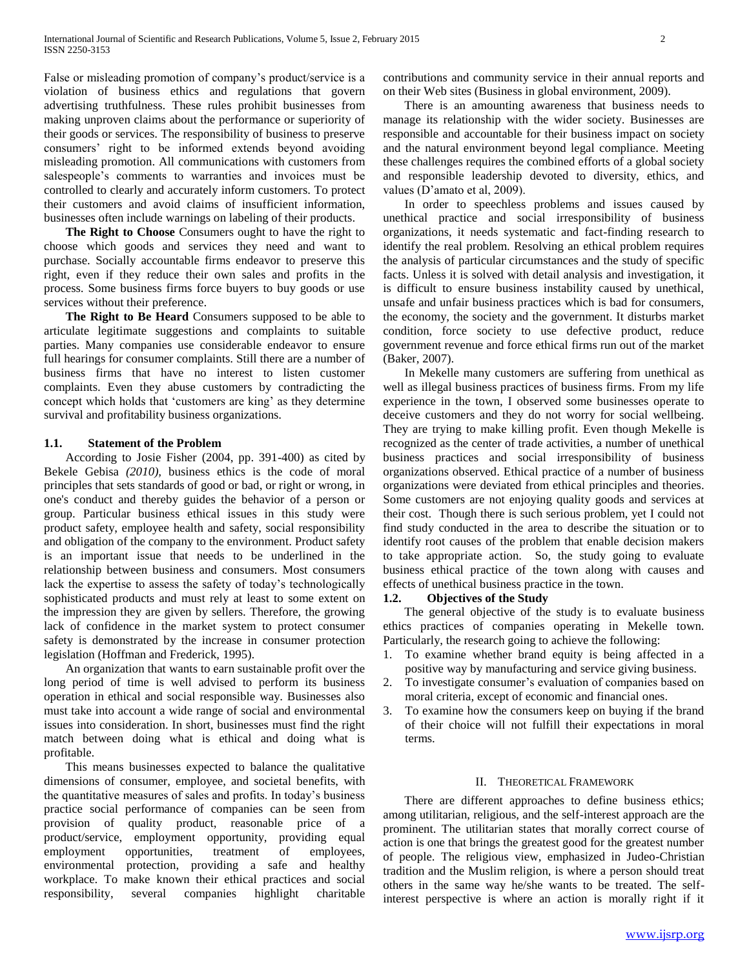False or misleading promotion of company's product/service is a violation of business ethics and regulations that govern advertising truthfulness. These rules prohibit businesses from making unproven claims about the performance or superiority of their goods or services. The responsibility of business to preserve consumers' right to be informed extends beyond avoiding misleading promotion. All communications with customers from salespeople's comments to warranties and invoices must be controlled to clearly and accurately inform customers. To protect their customers and avoid claims of insufficient information, businesses often include warnings on labeling of their products.

 **The Right to Choose** Consumers ought to have the right to choose which goods and services they need and want to purchase. Socially accountable firms endeavor to preserve this right, even if they reduce their own sales and profits in the process. Some business firms force buyers to buy goods or use services without their preference.

 **The Right to Be Heard** Consumers supposed to be able to articulate legitimate suggestions and complaints to suitable parties. Many companies use considerable endeavor to ensure full hearings for consumer complaints. Still there are a number of business firms that have no interest to listen customer complaints. Even they abuse customers by contradicting the concept which holds that 'customers are king' as they determine survival and profitability business organizations.

### **1.1. Statement of the Problem**

 According to Josie Fisher (2004, pp. 391-400) as cited by Bekele Gebisa *(2010),* business ethics is the code of moral principles that sets standards of good or bad, or right or wrong, in one's conduct and thereby guides the behavior of a person or group. Particular business ethical issues in this study were product safety, employee health and safety, social responsibility and obligation of the company to the environment. Product safety is an important issue that needs to be underlined in the relationship between business and consumers. Most consumers lack the expertise to assess the safety of today's technologically sophisticated products and must rely at least to some extent on the impression they are given by sellers. Therefore, the growing lack of confidence in the market system to protect consumer safety is demonstrated by the increase in consumer protection legislation (Hoffman and Frederick, 1995).

 An organization that wants to earn sustainable profit over the long period of time is well advised to perform its business operation in ethical and social responsible way. Businesses also must take into account a wide range of social and environmental issues into consideration. In short, businesses must find the right match between doing what is ethical and doing what is profitable.

 This means businesses expected to balance the qualitative dimensions of consumer, employee, and societal benefits, with the quantitative measures of sales and profits. In today's business practice social performance of companies can be seen from provision of quality product, reasonable price of a product/service, employment opportunity, providing equal employment opportunities, treatment of employees, environmental protection, providing a safe and healthy workplace. To make known their ethical practices and social responsibility, several companies highlight charitable contributions and community service in their annual reports and on their Web sites (Business in global environment, 2009).

 There is an amounting awareness that business needs to manage its relationship with the wider society. Businesses are responsible and accountable for their business impact on society and the natural environment beyond legal compliance. Meeting these challenges requires the combined efforts of a global society and responsible leadership devoted to diversity, ethics, and values (D'amato et al, 2009).

 In order to speechless problems and issues caused by unethical practice and social irresponsibility of business organizations, it needs systematic and fact-finding research to identify the real problem. Resolving an ethical problem requires the analysis of particular circumstances and the study of specific facts. Unless it is solved with detail analysis and investigation, it is difficult to ensure business instability caused by unethical, unsafe and unfair business practices which is bad for consumers, the economy, the society and the government. It disturbs market condition, force society to use defective product, reduce government revenue and force ethical firms run out of the market (Baker, 2007).

 In Mekelle many customers are suffering from unethical as well as illegal business practices of business firms. From my life experience in the town, I observed some businesses operate to deceive customers and they do not worry for social wellbeing. They are trying to make killing profit. Even though Mekelle is recognized as the center of trade activities, a number of unethical business practices and social irresponsibility of business organizations observed. Ethical practice of a number of business organizations were deviated from ethical principles and theories. Some customers are not enjoying quality goods and services at their cost. Though there is such serious problem, yet I could not find study conducted in the area to describe the situation or to identify root causes of the problem that enable decision makers to take appropriate action. So, the study going to evaluate business ethical practice of the town along with causes and effects of unethical business practice in the town.

#### **1.2. Objectives of the Study**

 The general objective of the study is to evaluate business ethics practices of companies operating in Mekelle town. Particularly, the research going to achieve the following:

- 1. To examine whether brand equity is being affected in a positive way by manufacturing and service giving business.
- 2. To investigate consumer's evaluation of companies based on moral criteria, except of economic and financial ones.
- 3. To examine how the consumers keep on buying if the brand of their choice will not fulfill their expectations in moral terms.

#### II. THEORETICAL FRAMEWORK

 There are different approaches to define business ethics; among utilitarian, religious, and the self-interest approach are the prominent. The utilitarian states that morally correct course of action is one that brings the greatest good for the greatest number of people. The religious view, emphasized in Judeo-Christian tradition and the Muslim religion, is where a person should treat others in the same way he/she wants to be treated. The selfinterest perspective is where an action is morally right if it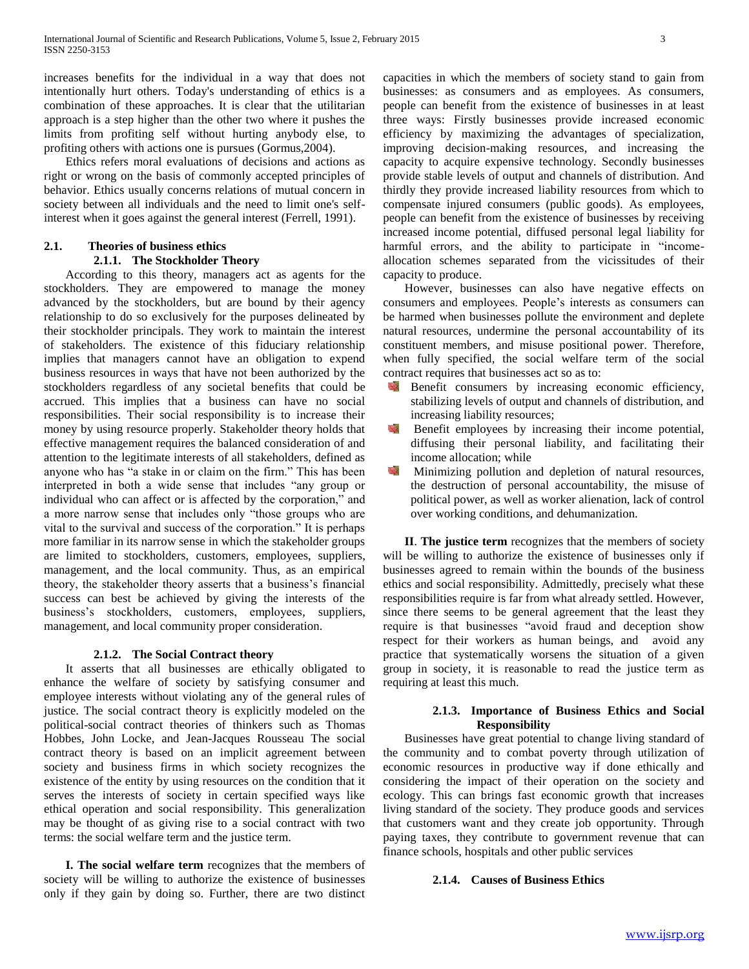increases benefits for the individual in a way that does not intentionally hurt others. Today's understanding of ethics is a combination of these approaches. It is clear that the utilitarian approach is a step higher than the other two where it pushes the limits from profiting self without hurting anybody else, to profiting others with actions one is pursues (Gormus,2004).

 Ethics refers moral evaluations of decisions and actions as right or wrong on the basis of commonly accepted principles of behavior. Ethics usually concerns relations of mutual concern in society between all individuals and the need to limit one's selfinterest when it goes against the general interest (Ferrell, 1991).

## **2.1. Theories of business ethics 2.1.1. The Stockholder Theory**

 According to this theory, managers act as agents for the stockholders. They are empowered to manage the money advanced by the stockholders, but are bound by their agency relationship to do so exclusively for the purposes delineated by their stockholder principals. They work to maintain the interest of stakeholders. The existence of this fiduciary relationship implies that managers cannot have an obligation to expend business resources in ways that have not been authorized by the stockholders regardless of any societal benefits that could be accrued. This implies that a business can have no social responsibilities. Their social responsibility is to increase their money by using resource properly. Stakeholder theory holds that effective management requires the balanced consideration of and attention to the legitimate interests of all stakeholders, defined as anyone who has "a stake in or claim on the firm." This has been interpreted in both a wide sense that includes "any group or individual who can affect or is affected by the corporation," and a more narrow sense that includes only "those groups who are vital to the survival and success of the corporation." It is perhaps more familiar in its narrow sense in which the stakeholder groups are limited to stockholders, customers, employees, suppliers, management, and the local community. Thus, as an empirical theory, the stakeholder theory asserts that a business's financial success can best be achieved by giving the interests of the business's stockholders, customers, employees, suppliers, management, and local community proper consideration.

#### **2.1.2. The Social Contract theory**

 It asserts that all businesses are ethically obligated to enhance the welfare of society by satisfying consumer and employee interests without violating any of the general rules of justice. The social contract theory is explicitly modeled on the political-social contract theories of thinkers such as Thomas Hobbes, John Locke, and Jean-Jacques Rousseau The social contract theory is based on an implicit agreement between society and business firms in which society recognizes the existence of the entity by using resources on the condition that it serves the interests of society in certain specified ways like ethical operation and social responsibility. This generalization may be thought of as giving rise to a social contract with two terms: the social welfare term and the justice term.

 **I. The social welfare term** recognizes that the members of society will be willing to authorize the existence of businesses only if they gain by doing so. Further, there are two distinct capacities in which the members of society stand to gain from businesses: as consumers and as employees. As consumers, people can benefit from the existence of businesses in at least three ways: Firstly businesses provide increased economic efficiency by maximizing the advantages of specialization, improving decision-making resources, and increasing the capacity to acquire expensive technology. Secondly businesses provide stable levels of output and channels of distribution. And thirdly they provide increased liability resources from which to compensate injured consumers (public goods). As employees, people can benefit from the existence of businesses by receiving increased income potential, diffused personal legal liability for harmful errors, and the ability to participate in "incomeallocation schemes separated from the vicissitudes of their capacity to produce.

 However, businesses can also have negative effects on consumers and employees. People's interests as consumers can be harmed when businesses pollute the environment and deplete natural resources, undermine the personal accountability of its constituent members, and misuse positional power. Therefore, when fully specified, the social welfare term of the social contract requires that businesses act so as to:

- Benefit consumers by increasing economic efficiency, stabilizing levels of output and channels of distribution, and increasing liability resources;
- N. Benefit employees by increasing their income potential, diffusing their personal liability, and facilitating their income allocation; while
- Sept. Minimizing pollution and depletion of natural resources, the destruction of personal accountability, the misuse of political power, as well as worker alienation, lack of control over working conditions, and dehumanization.

 **II**. **The justice term** recognizes that the members of society will be willing to authorize the existence of businesses only if businesses agreed to remain within the bounds of the business ethics and social responsibility. Admittedly, precisely what these responsibilities require is far from what already settled. However, since there seems to be general agreement that the least they require is that businesses "avoid fraud and deception show respect for their workers as human beings, and avoid any practice that systematically worsens the situation of a given group in society, it is reasonable to read the justice term as requiring at least this much.

## **2.1.3. Importance of Business Ethics and Social Responsibility**

 Businesses have great potential to change living standard of the community and to combat poverty through utilization of economic resources in productive way if done ethically and considering the impact of their operation on the society and ecology. This can brings fast economic growth that increases living standard of the society. They produce goods and services that customers want and they create job opportunity. Through paying taxes, they contribute to government revenue that can finance schools, hospitals and other public services

#### **2.1.4. Causes of Business Ethics**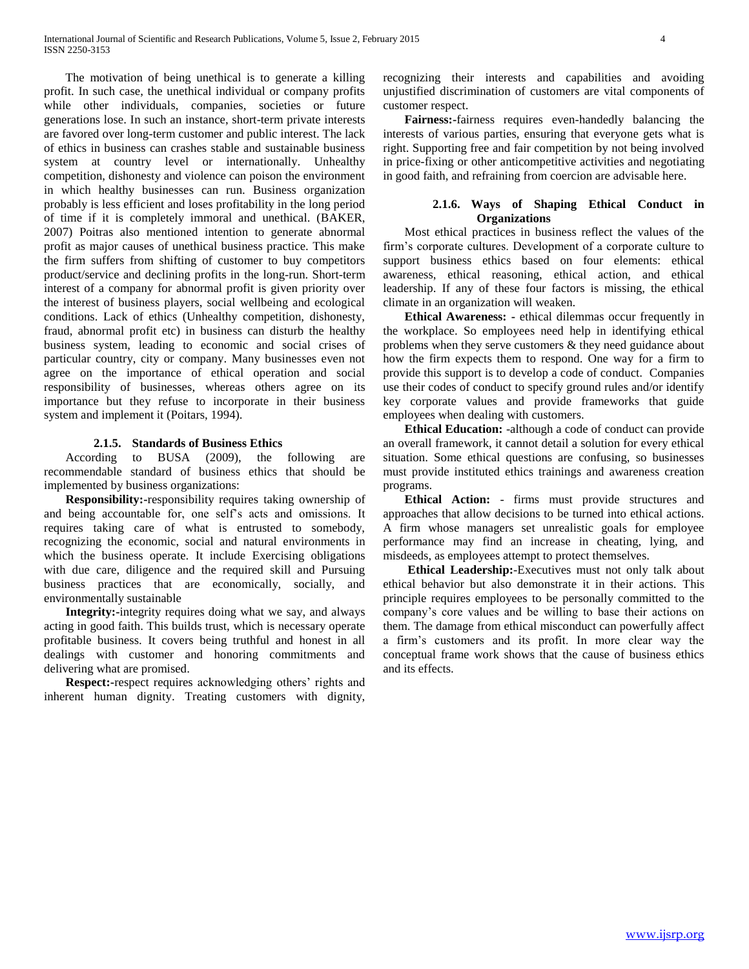The motivation of being unethical is to generate a killing profit. In such case, the unethical individual or company profits while other individuals, companies, societies or future generations lose. In such an instance, short-term private interests are favored over long-term customer and public interest. The lack of ethics in business can crashes stable and sustainable business system at country level or internationally. Unhealthy competition, dishonesty and violence can poison the environment in which healthy businesses can run. Business organization probably is less efficient and loses profitability in the long period of time if it is completely immoral and unethical. (BAKER, 2007) Poitras also mentioned intention to generate abnormal profit as major causes of unethical business practice. This make the firm suffers from shifting of customer to buy competitors product/service and declining profits in the long-run. Short-term interest of a company for abnormal profit is given priority over the interest of business players, social wellbeing and ecological conditions. Lack of ethics (Unhealthy competition, dishonesty, fraud, abnormal profit etc) in business can disturb the healthy business system, leading to economic and social crises of particular country, city or company. Many businesses even not agree on the importance of ethical operation and social responsibility of businesses, whereas others agree on its importance but they refuse to incorporate in their business system and implement it (Poitars, 1994).

#### **2.1.5. Standards of Business Ethics**

 According to BUSA (2009), the following are recommendable standard of business ethics that should be implemented by business organizations:

 **Responsibility:-**responsibility requires taking ownership of and being accountable for, one self's acts and omissions. It requires taking care of what is entrusted to somebody, recognizing the economic, social and natural environments in which the business operate. It include Exercising obligations with due care, diligence and the required skill and Pursuing business practices that are economically, socially, and environmentally sustainable

 **Integrity:-**integrity requires doing what we say, and always acting in good faith. This builds trust, which is necessary operate profitable business. It covers being truthful and honest in all dealings with customer and honoring commitments and delivering what are promised.

 **Respect:-**respect requires acknowledging others' rights and inherent human dignity. Treating customers with dignity, recognizing their interests and capabilities and avoiding unjustified discrimination of customers are vital components of customer respect.

 **Fairness:-**fairness requires even-handedly balancing the interests of various parties, ensuring that everyone gets what is right. Supporting free and fair competition by not being involved in price-fixing or other anticompetitive activities and negotiating in good faith, and refraining from coercion are advisable here.

#### **2.1.6. Ways of Shaping Ethical Conduct in Organizations**

 Most ethical practices in business reflect the values of the firm's corporate cultures. Development of a corporate culture to support business ethics based on four elements: ethical awareness, ethical reasoning, ethical action, and ethical leadership. If any of these four factors is missing, the ethical climate in an organization will weaken.

 **Ethical Awareness: -** ethical dilemmas occur frequently in the workplace. So employees need help in identifying ethical problems when they serve customers & they need guidance about how the firm expects them to respond. One way for a firm to provide this support is to develop a code of conduct. Companies use their codes of conduct to specify ground rules and/or identify key corporate values and provide frameworks that guide employees when dealing with customers.

 **Ethical Education:** -although a code of conduct can provide an overall framework, it cannot detail a solution for every ethical situation. Some ethical questions are confusing, so businesses must provide instituted ethics trainings and awareness creation programs.

 **Ethical Action:** - firms must provide structures and approaches that allow decisions to be turned into ethical actions. A firm whose managers set unrealistic goals for employee performance may find an increase in cheating, lying, and misdeeds, as employees attempt to protect themselves.

 **Ethical Leadership:**-Executives must not only talk about ethical behavior but also demonstrate it in their actions. This principle requires employees to be personally committed to the company's core values and be willing to base their actions on them. The damage from ethical misconduct can powerfully affect a firm's customers and its profit. In more clear way the conceptual frame work shows that the cause of business ethics and its effects.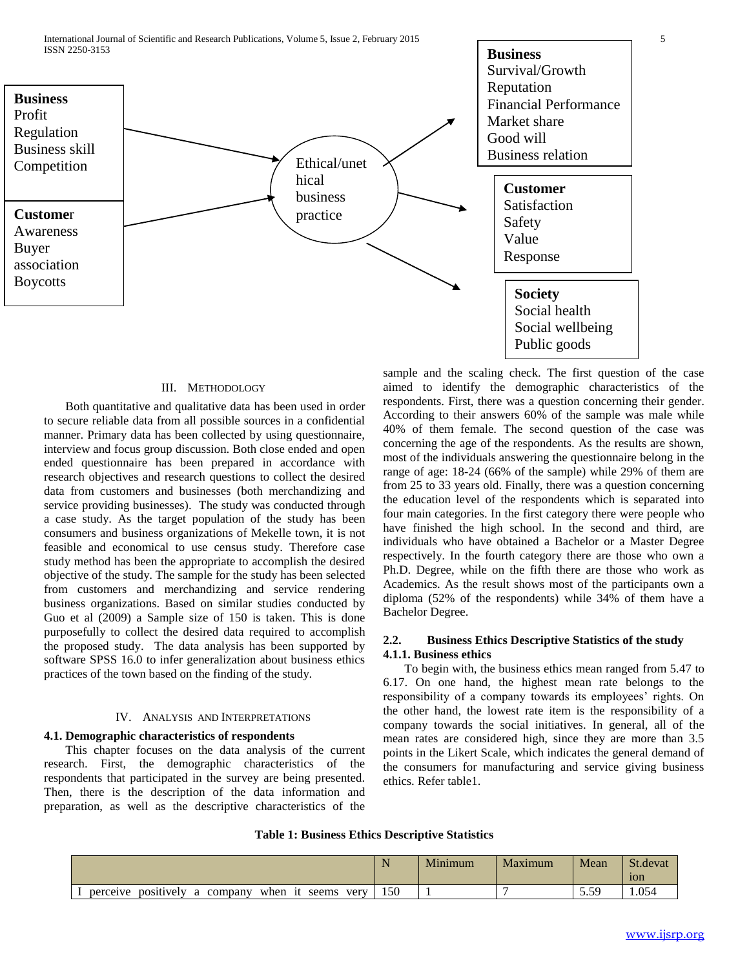

#### III. METHODOLOGY

 Both quantitative and qualitative data has been used in order to secure reliable data from all possible sources in a confidential manner. Primary data has been collected by using questionnaire, interview and focus group discussion. Both close ended and open ended questionnaire has been prepared in accordance with research objectives and research questions to collect the desired data from customers and businesses (both merchandizing and service providing businesses). The study was conducted through a case study. As the target population of the study has been consumers and business organizations of Mekelle town, it is not feasible and economical to use census study. Therefore case study method has been the appropriate to accomplish the desired objective of the study. The sample for the study has been selected from customers and merchandizing and service rendering business organizations. Based on similar studies conducted by Guo et al (2009) a Sample size of 150 is taken. This is done purposefully to collect the desired data required to accomplish the proposed study. The data analysis has been supported by software SPSS 16.0 to infer generalization about business ethics practices of the town based on the finding of the study.

#### IV. ANALYSIS AND INTERPRETATIONS

#### **4.1. Demographic characteristics of respondents**

 This chapter focuses on the data analysis of the current research. First, the demographic characteristics of the respondents that participated in the survey are being presented. Then, there is the description of the data information and preparation, as well as the descriptive characteristics of the sample and the scaling check. The first question of the case aimed to identify the demographic characteristics of the respondents. First, there was a question concerning their gender. According to their answers 60% of the sample was male while 40% of them female. The second question of the case was concerning the age of the respondents. As the results are shown, most of the individuals answering the questionnaire belong in the range of age: 18-24 (66% of the sample) while 29% of them are from 25 to 33 years old. Finally, there was a question concerning the education level of the respondents which is separated into four main categories. In the first category there were people who have finished the high school. In the second and third, are individuals who have obtained a Bachelor or a Master Degree respectively. In the fourth category there are those who own a Ph.D. Degree, while on the fifth there are those who work as Academics. As the result shows most of the participants own a diploma (52% of the respondents) while 34% of them have a Bachelor Degree.

## **2.2. Business Ethics Descriptive Statistics of the study 4.1.1. Business ethics**

 To begin with, the business ethics mean ranged from 5.47 to 6.17. On one hand, the highest mean rate belongs to the responsibility of a company towards its employees' rights. On the other hand, the lowest rate item is the responsibility of a company towards the social initiatives. In general, all of the mean rates are considered high, since they are more than 3.5 points in the Likert Scale, which indicates the general demand of the consumers for manufacturing and service giving business ethics. Refer table1.

#### **Table 1: Business Ethics Descriptive Statistics**

|                                                                 | N<br>. . | Minimum | Maximum | Mean | $C_{\perp}$<br>St.devat<br>1 <sub>o</sub> n |
|-----------------------------------------------------------------|----------|---------|---------|------|---------------------------------------------|
| positively<br>when<br>very<br>perceive<br>company<br>seems<br>a | 150      |         |         | 5.59 | 1.054                                       |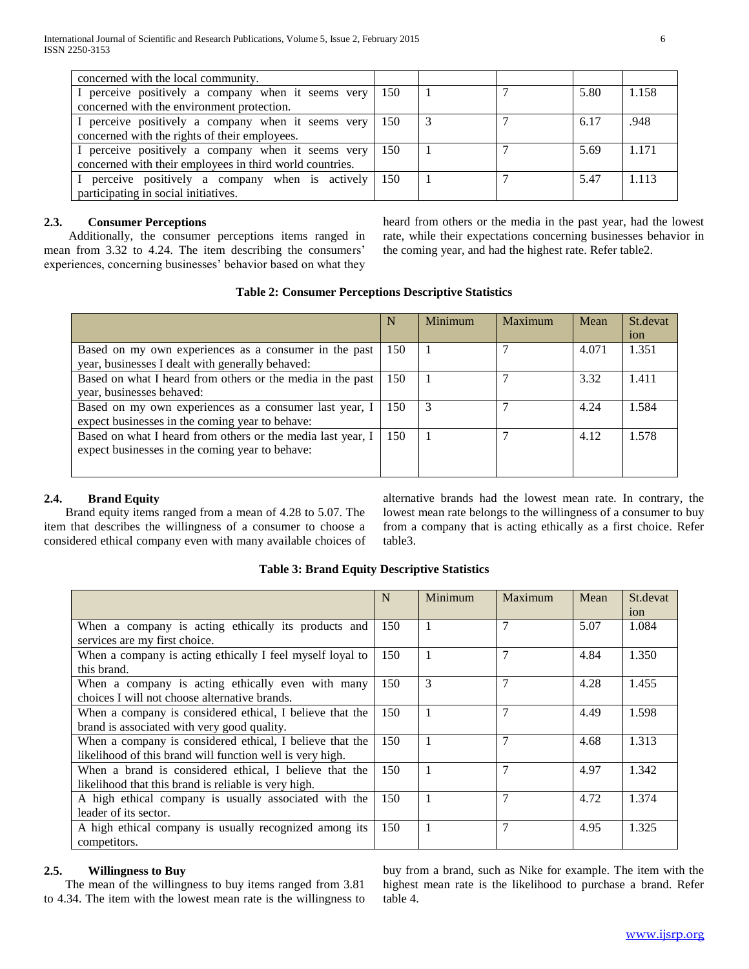| concerned with the local community.                      |     |  |      |         |
|----------------------------------------------------------|-----|--|------|---------|
| I perceive positively a company when it seems very       | 150 |  | 5.80 | 1.158   |
| concerned with the environment protection.               |     |  |      |         |
| I perceive positively a company when it seems very       | 150 |  | 6.17 | .948    |
| concerned with the rights of their employees.            |     |  |      |         |
| I perceive positively a company when it seems very       | 150 |  | 5.69 | 1 1 7 1 |
| concerned with their employees in third world countries. |     |  |      |         |
| perceive positively a company when is actively           | 150 |  | 5.47 | 1 1 1 3 |
| participating in social initiatives.                     |     |  |      |         |

## **2.3. Consumer Perceptions**

 Additionally, the consumer perceptions items ranged in mean from 3.32 to 4.24. The item describing the consumers' experiences, concerning businesses' behavior based on what they heard from others or the media in the past year, had the lowest rate, while their expectations concerning businesses behavior in the coming year, and had the highest rate. Refer table2.

| <b>Table 2: Consumer Perceptions Descriptive Statistics</b> |  |  |  |
|-------------------------------------------------------------|--|--|--|
|-------------------------------------------------------------|--|--|--|

| N   | <b>Minimum</b> | Maximum | Mean  | St.devat        |
|-----|----------------|---------|-------|-----------------|
|     |                |         |       | <sub>10</sub> n |
| 150 |                |         | 4.071 | 1.351           |
|     |                |         |       |                 |
| 150 |                |         | 3.32  | 1.411           |
|     |                |         |       |                 |
| 150 | 3              |         | 4.24  | 1.584           |
|     |                |         |       |                 |
| 150 |                |         | 4.12  | 1.578           |
|     |                |         |       |                 |
|     |                |         |       |                 |
|     |                |         |       |                 |

## **2.4. Brand Equity**

 Brand equity items ranged from a mean of 4.28 to 5.07. The item that describes the willingness of a consumer to choose a considered ethical company even with many available choices of alternative brands had the lowest mean rate. In contrary, the lowest mean rate belongs to the willingness of a consumer to buy from a company that is acting ethically as a first choice. Refer table3.

### **Table 3: Brand Equity Descriptive Statistics**

|                                                           | N   | Minimum      | Maximum        | Mean | St.devat<br>ion |
|-----------------------------------------------------------|-----|--------------|----------------|------|-----------------|
| When a company is acting ethically its products and       | 150 |              | 7              | 5.07 | 1.084           |
| services are my first choice.                             |     |              |                |      |                 |
|                                                           |     |              | 7              |      |                 |
| When a company is acting ethically I feel myself loyal to | 150 | $\mathbf{1}$ |                | 4.84 | 1.350           |
| this brand.                                               |     |              |                |      |                 |
| When a company is acting ethically even with many         | 150 | 3            | 7              | 4.28 | 1.455           |
| choices I will not choose alternative brands.             |     |              |                |      |                 |
| When a company is considered ethical, I believe that the  | 150 | 1            | 7              | 4.49 | 1.598           |
| brand is associated with very good quality.               |     |              |                |      |                 |
| When a company is considered ethical, I believe that the  | 150 | 1            | $\overline{7}$ | 4.68 | 1.313           |
| likelihood of this brand will function well is very high. |     |              |                |      |                 |
| When a brand is considered ethical, I believe that the    | 150 | 1            | 7              | 4.97 | 1.342           |
| likelihood that this brand is reliable is very high.      |     |              |                |      |                 |
| A high ethical company is usually associated with the     | 150 | 1            | $\tau$         | 4.72 | 1.374           |
| leader of its sector.                                     |     |              |                |      |                 |
| A high ethical company is usually recognized among its    | 150 | $\mathbf{1}$ | 7              | 4.95 | 1.325           |
| competitors.                                              |     |              |                |      |                 |

## **2.5. Willingness to Buy**

 The mean of the willingness to buy items ranged from 3.81 to 4.34. The item with the lowest mean rate is the willingness to buy from a brand, such as Nike for example. The item with the highest mean rate is the likelihood to purchase a brand. Refer table 4.